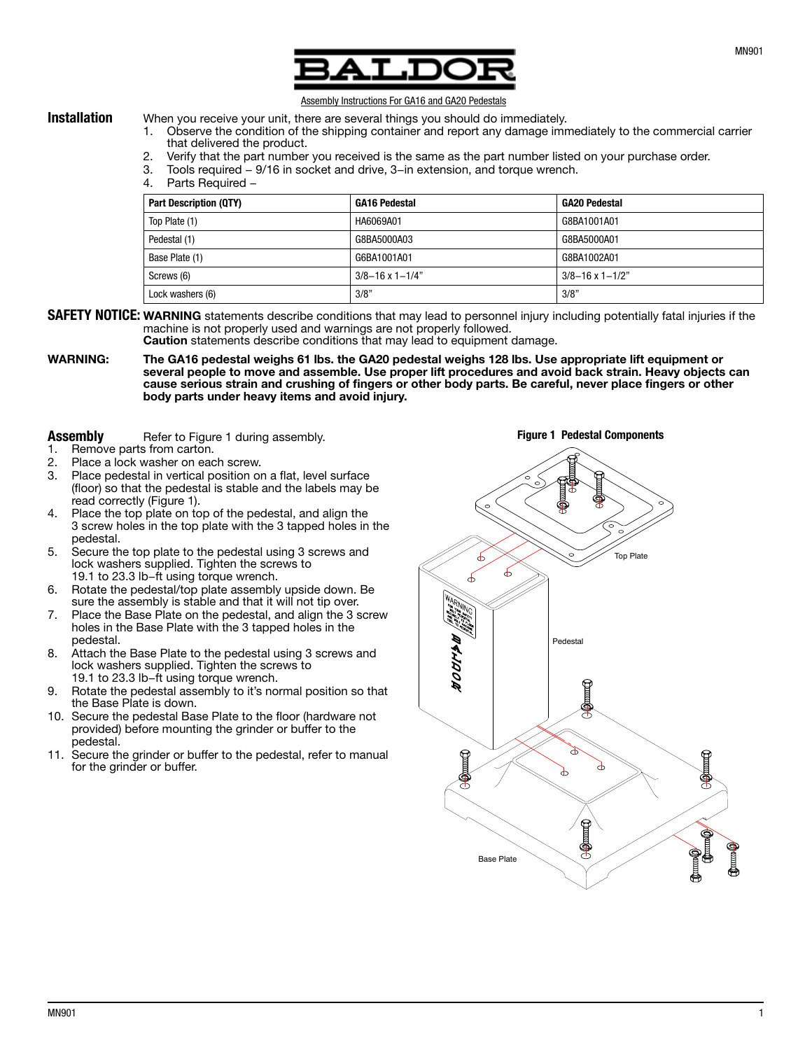

## Assembly Instructions For GA16 and GA20 Pedestals

- **Installation** When you receive your unit, there are several things you should do immediately. 1. Observe the condition of the shipping container and report any damage immediately to the commercial carrier that delivered the product.
	- 2. Verify that the part number you received is the same as the part number listed on your purchase order.
	- 3. Tools required − 9/16 in socket and drive, 3−in extension, and torque wrench.
	- 4. Parts Required −

| <b>Part Description (QTY)</b> | <b>GA16 Pedestal</b>        | <b>GA20 Pedestal</b>        |
|-------------------------------|-----------------------------|-----------------------------|
| Top Plate (1)                 | HA6069A01                   | G8BA1001A01                 |
| Pedestal (1)                  | G8BA5000A03                 | G8BA5000A01                 |
| Base Plate (1)                | G6BA1001A01                 | G8BA1002A01                 |
| Screws (6)                    | $3/8 - 16 \times 1 - 1/4$ " | $3/8 - 16 \times 1 - 1/2$ " |
| Lock washers (6)              | 3/8"                        | 3/8"                        |

SAFETY NOTICE: WARNING statements describe conditions that may lead to personnel injury including potentially fatal injuries if the machine is not properly used and warnings are not properly followed.

Caution statements describe conditions that may lead to equipment damage.

WARNING: The GA16 pedestal weighs 61 lbs. the GA20 pedestal weighs 128 lbs. Use appropriate lift equipment or several people to move and assemble. Use proper lift procedures and avoid back strain. Heavy objects can cause serious strain and crushing of fingers or other body parts. Be careful, never place fingers or other body parts under heavy items and avoid injury.

## **Assembly** Refer to Figure 1 during assembly.<br>1 Remove parts from carton

- Remove parts from carton.
- 2. Place a lock washer on each screw.
- 3. Place pedestal in vertical position on a flat, level surface (floor) so that the pedestal is stable and the labels may be read correctly (Figure 1).
- 4. Place the top plate on top of the pedestal, and align the 3 screw holes in the top plate with the 3 tapped holes in the pedestal.
- 5. Secure the top plate to the pedestal using 3 screws and lock washers supplied. Tighten the screws to 19.1 to 23.3 lb−ft using torque wrench.
- 6. Rotate the pedestal/top plate assembly upside down. Be sure the assembly is stable and that it will not tip over.
- 7. Place the Base Plate on the pedestal, and align the 3 screw holes in the Base Plate with the 3 tapped holes in the pedestal.
- 8. Attach the Base Plate to the pedestal using 3 screws and lock washers supplied. Tighten the screws to 19.1 to 23.3 lb−ft using torque wrench.
- 9. Rotate the pedestal assembly to it's normal position so that the Base Plate is down.
- 10. Secure the pedestal Base Plate to the floor (hardware not provided) before mounting the grinder or buffer to the pedestal.
- 11. Secure the grinder or buffer to the pedestal, refer to manual for the grinder or buffer.